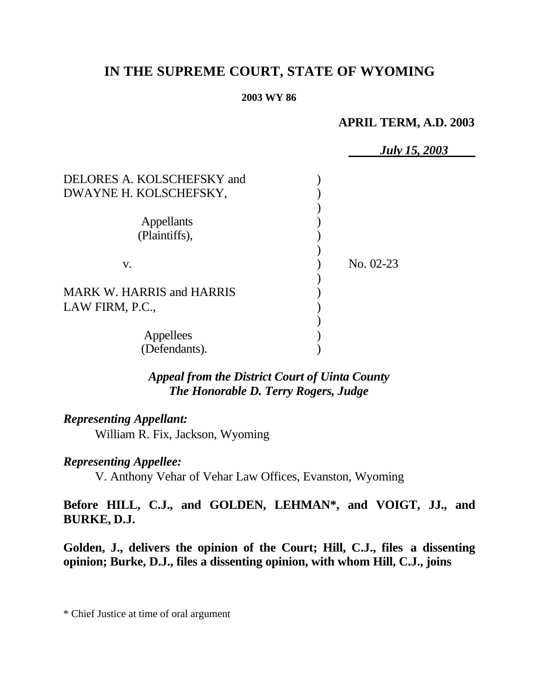# **IN THE SUPREME COURT, STATE OF WYOMING**

#### **2003 WY 86**

# **APRIL TERM, A.D. 2003**

|                                                      | <b>July 15, 2003</b> |
|------------------------------------------------------|----------------------|
| DELORES A. KOLSCHEFSKY and<br>DWAYNE H. KOLSCHEFSKY, |                      |
|                                                      |                      |
| <b>Appellants</b>                                    |                      |
| (Plaintiffs),                                        |                      |
| V.                                                   | No. 02-23            |
|                                                      |                      |
| <b>MARK W. HARRIS and HARRIS</b>                     |                      |
| LAW FIRM, P.C.,                                      |                      |
|                                                      |                      |
| Appellees                                            |                      |
| (Defendants).                                        |                      |

*Appeal from the District Court of Uinta County The Honorable D. Terry Rogers, Judge* 

# *Representing Appellant:*

William R. Fix, Jackson, Wyoming

# *Representing Appellee:*

V. Anthony Vehar of Vehar Law Offices, Evanston, Wyoming

# **Before HILL, C.J., and GOLDEN, LEHMAN\*, and VOIGT, JJ., and BURKE, D.J.**

**Golden, J., delivers the opinion of the Court; Hill, C.J., files a dissenting opinion; Burke, D.J., files a dissenting opinion, with whom Hill, C.J., joins**

\* Chief Justice at time of oral argument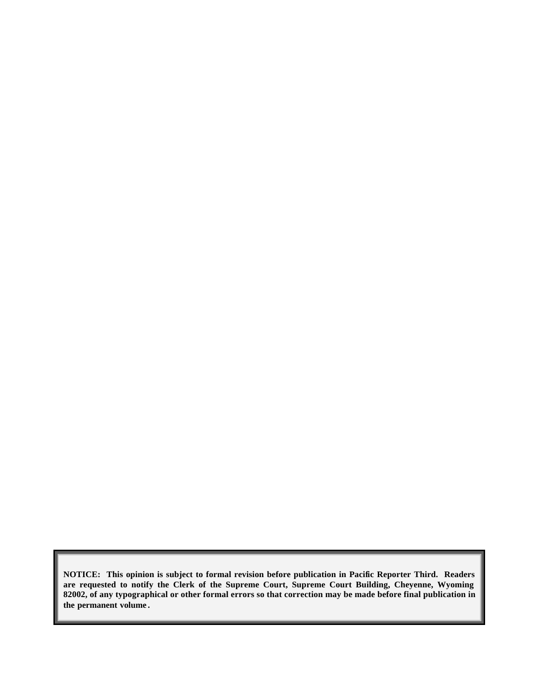**NOTICE: This opinion is subject to formal revision before publication in Pacific Reporter Third. Readers are requested to notify the Clerk of the Supreme Court, Supreme Court Building, Cheyenne, Wyoming 82002, of any typographical or other formal errors so that correction may be made before final publication in the permanent volume .**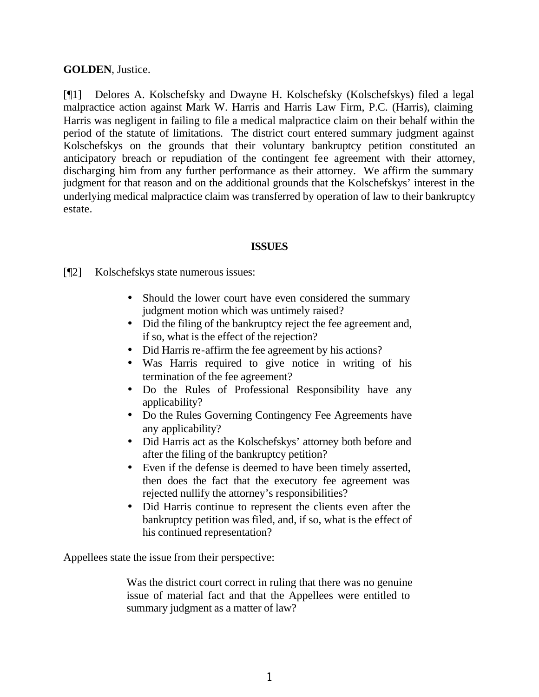#### **GOLDEN**, Justice.

[¶1] Delores A. Kolschefsky and Dwayne H. Kolschefsky (Kolschefskys) filed a legal malpractice action against Mark W. Harris and Harris Law Firm, P.C. (Harris), claiming Harris was negligent in failing to file a medical malpractice claim on their behalf within the period of the statute of limitations. The district court entered summary judgment against Kolschefskys on the grounds that their voluntary bankruptcy petition constituted an anticipatory breach or repudiation of the contingent fee agreement with their attorney, discharging him from any further performance as their attorney. We affirm the summary judgment for that reason and on the additional grounds that the Kolschefskys' interest in the underlying medical malpractice claim was transferred by operation of law to their bankruptcy estate.

#### **ISSUES**

[¶2] Kolschefskys state numerous issues:

- Should the lower court have even considered the summary judgment motion which was untimely raised?
- Did the filing of the bankruptcy reject the fee agreement and, if so, what is the effect of the rejection?
- Did Harris re-affirm the fee agreement by his actions?
- Was Harris required to give notice in writing of his termination of the fee agreement?
- Do the Rules of Professional Responsibility have any applicability?
- Do the Rules Governing Contingency Fee Agreements have any applicability?
- Did Harris act as the Kolschefskys' attorney both before and after the filing of the bankruptcy petition?
- Even if the defense is deemed to have been timely asserted, then does the fact that the executory fee agreement was rejected nullify the attorney's responsibilities?
- Did Harris continue to represent the clients even after the bankruptcy petition was filed, and, if so, what is the effect of his continued representation?

Appellees state the issue from their perspective:

Was the district court correct in ruling that there was no genuine issue of material fact and that the Appellees were entitled to summary judgment as a matter of law?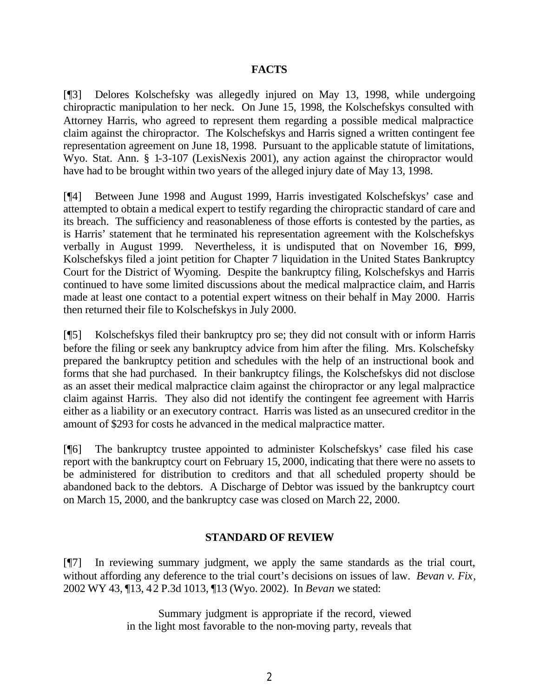#### **FACTS**

[¶3] Delores Kolschefsky was allegedly injured on May 13, 1998, while undergoing chiropractic manipulation to her neck. On June 15, 1998, the Kolschefskys consulted with Attorney Harris, who agreed to represent them regarding a possible medical malpractice claim against the chiropractor. The Kolschefskys and Harris signed a written contingent fee representation agreement on June 18, 1998. Pursuant to the applicable statute of limitations, Wyo. Stat. Ann. § 1-3-107 (LexisNexis 2001), any action against the chiropractor would have had to be brought within two years of the alleged injury date of May 13, 1998.

[¶4] Between June 1998 and August 1999, Harris investigated Kolschefskys' case and attempted to obtain a medical expert to testify regarding the chiropractic standard of care and its breach. The sufficiency and reasonableness of those efforts is contested by the parties, as is Harris' statement that he terminated his representation agreement with the Kolschefskys verbally in August 1999. Nevertheless, it is undisputed that on November 16, 1999, Kolschefskys filed a joint petition for Chapter 7 liquidation in the United States Bankruptcy Court for the District of Wyoming. Despite the bankruptcy filing, Kolschefskys and Harris continued to have some limited discussions about the medical malpractice claim, and Harris made at least one contact to a potential expert witness on their behalf in May 2000. Harris then returned their file to Kolschefskys in July 2000.

[¶5] Kolschefskys filed their bankruptcy pro se; they did not consult with or inform Harris before the filing or seek any bankruptcy advice from him after the filing. Mrs. Kolschefsky prepared the bankruptcy petition and schedules with the help of an instructional book and forms that she had purchased. In their bankruptcy filings, the Kolschefskys did not disclose as an asset their medical malpractice claim against the chiropractor or any legal malpractice claim against Harris. They also did not identify the contingent fee agreement with Harris either as a liability or an executory contract. Harris was listed as an unsecured creditor in the amount of \$293 for costs he advanced in the medical malpractice matter.

[¶6] The bankruptcy trustee appointed to administer Kolschefskys' case filed his case report with the bankruptcy court on February 15, 2000, indicating that there were no assets to be administered for distribution to creditors and that all scheduled property should be abandoned back to the debtors. A Discharge of Debtor was issued by the bankruptcy court on March 15, 2000, and the bankruptcy case was closed on March 22, 2000.

#### **STANDARD OF REVIEW**

[¶7] In reviewing summary judgment, we apply the same standards as the trial court, without affording any deference to the trial court's decisions on issues of law. *Bevan v. Fix*, 2002 WY 43, ¶13, 42 P.3d 1013, ¶13 (Wyo. 2002). In *Bevan* we stated:

> Summary judgment is appropriate if the record, viewed in the light most favorable to the non-moving party, reveals that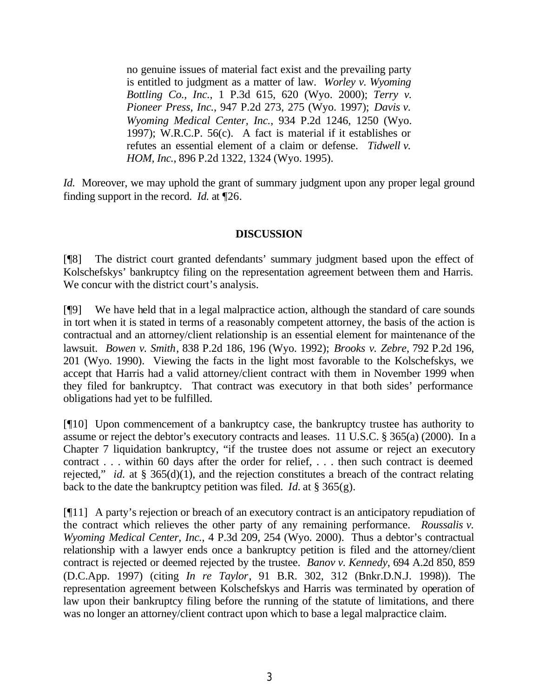no genuine issues of material fact exist and the prevailing party is entitled to judgment as a matter of law. *Worley v. Wyoming Bottling Co., Inc.*, 1 P.3d 615, 620 (Wyo. 2000); *Terry v. Pioneer Press, Inc.*, 947 P.2d 273, 275 (Wyo. 1997); *Davis v. Wyoming Medical Center, Inc.*, 934 P.2d 1246, 1250 (Wyo. 1997); W.R.C.P. 56(c). A fact is material if it establishes or refutes an essential element of a claim or defense. *Tidwell v. HOM, Inc.*, 896 P.2d 1322, 1324 (Wyo. 1995).

*Id.* Moreover, we may uphold the grant of summary judgment upon any proper legal ground finding support in the record. *Id.* at ¶26.

#### **DISCUSSION**

[¶8] The district court granted defendants' summary judgment based upon the effect of Kolschefskys' bankruptcy filing on the representation agreement between them and Harris. We concur with the district court's analysis.

[¶9] We have held that in a legal malpractice action, although the standard of care sounds in tort when it is stated in terms of a reasonably competent attorney, the basis of the action is contractual and an attorney/client relationship is an essential element for maintenance of the lawsuit. *Bowen v. Smith*, 838 P.2d 186, 196 (Wyo. 1992); *Brooks v. Zebre*, 792 P.2d 196, 201 (Wyo. 1990). Viewing the facts in the light most favorable to the Kolschefskys, we accept that Harris had a valid attorney/client contract with them in November 1999 when they filed for bankruptcy. That contract was executory in that both sides' performance obligations had yet to be fulfilled.

[¶10] Upon commencement of a bankruptcy case, the bankruptcy trustee has authority to assume or reject the debtor's executory contracts and leases. 11 U.S.C. § 365(a) (2000). In a Chapter 7 liquidation bankruptcy, "if the trustee does not assume or reject an executory contract . . . within 60 days after the order for relief, . . . then such contract is deemed rejected," *id.* at § 365(d)(1), and the rejection constitutes a breach of the contract relating back to the date the bankruptcy petition was filed. *Id.* at § 365(g).

[¶11] A party's rejection or breach of an executory contract is an anticipatory repudiation of the contract which relieves the other party of any remaining performance. *Roussalis v. Wyoming Medical Center, Inc.*, 4 P.3d 209, 254 (Wyo. 2000). Thus a debtor's contractual relationship with a lawyer ends once a bankruptcy petition is filed and the attorney/client contract is rejected or deemed rejected by the trustee. *Banov v. Kennedy*, 694 A.2d 850, 859 (D.C.App. 1997) (citing *In re Taylor*, 91 B.R. 302, 312 (Bnkr.D.N.J. 1998)). The representation agreement between Kolschefskys and Harris was terminated by operation of law upon their bankruptcy filing before the running of the statute of limitations, and there was no longer an attorney/client contract upon which to base a legal malpractice claim.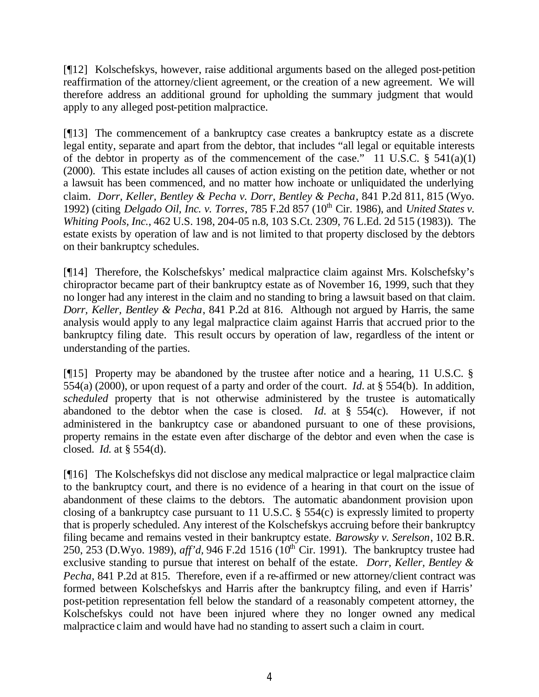[¶12] Kolschefskys, however, raise additional arguments based on the alleged post-petition reaffirmation of the attorney/client agreement, or the creation of a new agreement. We will therefore address an additional ground for upholding the summary judgment that would apply to any alleged post-petition malpractice.

[¶13] The commencement of a bankruptcy case creates a bankruptcy estate as a discrete legal entity, separate and apart from the debtor, that includes "all legal or equitable interests of the debtor in property as of the commencement of the case." 11 U.S.C.  $\S$  541(a)(1) (2000). This estate includes all causes of action existing on the petition date, whether or not a lawsuit has been commenced, and no matter how inchoate or unliquidated the underlying claim. *Dorr, Keller, Bentley & Pecha v. Dorr, Bentley & Pecha*, 841 P.2d 811, 815 (Wyo. 1992) (citing *Delgado Oil, Inc. v. Torres*, 785 F.2d 857 (10<sup>th</sup> Cir. 1986), and *United States v. Whiting Pools, Inc.*, 462 U.S. 198, 204-05 n.8, 103 S.Ct. 2309, 76 L.Ed. 2d 515 (1983)). The estate exists by operation of law and is not limited to that property disclosed by the debtors on their bankruptcy schedules.

[¶14] Therefore, the Kolschefskys' medical malpractice claim against Mrs. Kolschefsky's chiropractor became part of their bankruptcy estate as of November 16, 1999, such that they no longer had any interest in the claim and no standing to bring a lawsuit based on that claim. *Dorr, Keller, Bentley & Pecha*, 841 P.2d at 816. Although not argued by Harris, the same analysis would apply to any legal malpractice claim against Harris that accrued prior to the bankruptcy filing date. This result occurs by operation of law, regardless of the intent or understanding of the parties.

[¶15] Property may be abandoned by the trustee after notice and a hearing, 11 U.S.C. § 554(a) (2000), or upon request of a party and order of the court. *Id.* at § 554(b). In addition, *scheduled* property that is not otherwise administered by the trustee is automatically abandoned to the debtor when the case is closed. *Id.* at § 554(c). However, if not administered in the bankruptcy case or abandoned pursuant to one of these provisions, property remains in the estate even after discharge of the debtor and even when the case is closed. *Id.* at § 554(d).

[¶16] The Kolschefskys did not disclose any medical malpractice or legal malpractice claim to the bankruptcy court, and there is no evidence of a hearing in that court on the issue of abandonment of these claims to the debtors. The automatic abandonment provision upon closing of a bankruptcy case pursuant to 11 U.S.C. § 554(c) is expressly limited to property that is properly scheduled. Any interest of the Kolschefskys accruing before their bankruptcy filing became and remains vested in their bankruptcy estate. *Barowsky v. Serelson*, 102 B.R. 250, 253 (D.Wyo. 1989), *aff'd*, 946 F.2d 1516 ( $10^{th}$  Cir. 1991). The bankruptcy trustee had exclusive standing to pursue that interest on behalf of the estate. *Dorr, Keller, Bentley & Pecha*, 841 P.2d at 815. Therefore, even if a re-affirmed or new attorney/client contract was formed between Kolschefskys and Harris after the bankruptcy filing, and even if Harris' post-petition representation fell below the standard of a reasonably competent attorney, the Kolschefskys could not have been injured where they no longer owned any medical malpractice claim and would have had no standing to assert such a claim in court.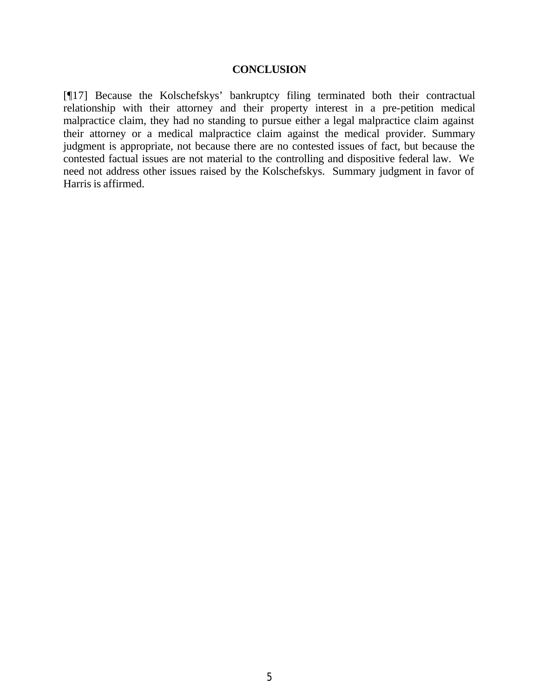#### **CONCLUSION**

[¶17] Because the Kolschefskys' bankruptcy filing terminated both their contractual relationship with their attorney and their property interest in a pre-petition medical malpractice claim, they had no standing to pursue either a legal malpractice claim against their attorney or a medical malpractice claim against the medical provider. Summary judgment is appropriate, not because there are no contested issues of fact, but because the contested factual issues are not material to the controlling and dispositive federal law. We need not address other issues raised by the Kolschefskys. Summary judgment in favor of Harris is affirmed.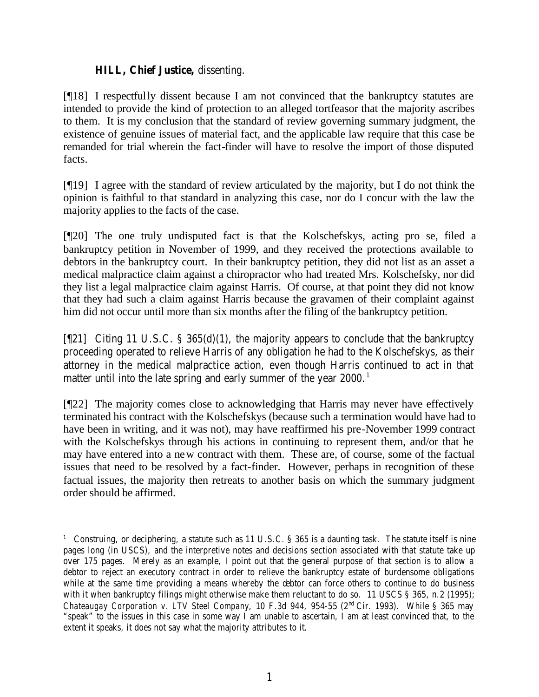### **HILL, Chief Justice,** dissenting.

[¶18] I respectfully dissent because I am not convinced that the bankruptcy statutes are intended to provide the kind of protection to an alleged tortfeasor that the majority ascribes to them. It is my conclusion that the standard of review governing summary judgment, the existence of genuine issues of material fact, and the applicable law require that this case be remanded for trial wherein the fact-finder will have to resolve the import of those disputed facts.

[¶19] I agree with the standard of review articulated by the majority, but I do not think the opinion is faithful to that standard in analyzing this case, nor do I concur with the law the majority applies to the facts of the case.

[¶20] The one truly undisputed fact is that the Kolschefskys, acting pro se, filed a bankruptcy petition in November of 1999, and they received the protections available to debtors in the bankruptcy court. In their bankruptcy petition, they did not list as an asset a medical malpractice claim against a chiropractor who had treated Mrs. Kolschefsky, nor did they list a legal malpractice claim against Harris. Of course, at that point they did not know that they had such a claim against Harris because the gravamen of their complaint against him did not occur until more than six months after the filing of the bankruptcy petition.

[¶21] Citing 11 U.S.C. § 365(d)(1), the majority appears to conclude that the bankruptcy proceeding operated to relieve Harris of any obligation he had to the Kolschefskys, as their attorney in the medical malpractice action, even though Harris continued to act in that matter until into the late spring and early summer of the year  $2000$ .<sup>1</sup>

[¶22] The majority comes close to acknowledging that Harris may never have effectively terminated his contract with the Kolschefskys (because such a termination would have had to have been in writing, and it was not), may have reaffirmed his pre-November 1999 contract with the Kolschefskys through his actions in continuing to represent them, and/or that he may have entered into a new contract with them. These are, of course, some of the factual issues that need to be resolved by a fact-finder. However, perhaps in recognition of these factual issues, the majority then retreats to another basis on which the summary judgment order should be affirmed.

<sup>&</sup>lt;sup>1</sup> Construing, or deciphering, a statute such as 11 U.S.C. § 365 is a daunting task. The statute itself is nine pages long (in USCS), and the interpretive notes and decisions section associated with that statute take up over 175 pages. Merely as an example, I point out that the general purpose of that section is to allow a debtor to reject an executory contract in order to relieve the bankruptcy estate of burdensome obligations while at the same time providing a means whereby the debtor can force others to continue to do business with it when bankruptcy filings might otherwise make them reluctant to do so. 11 USCS § 365, n.2 (1995); *Chateaugay Corporation v. LTV Steel Company*, 10 F.3d 944, 954-55 (2nd Cir. 1993). While § 365 may "speak" to the issues in this case in some way I am unable to ascertain, I am at least convinced that, to the extent it speaks, it does not say what the majority attributes to it.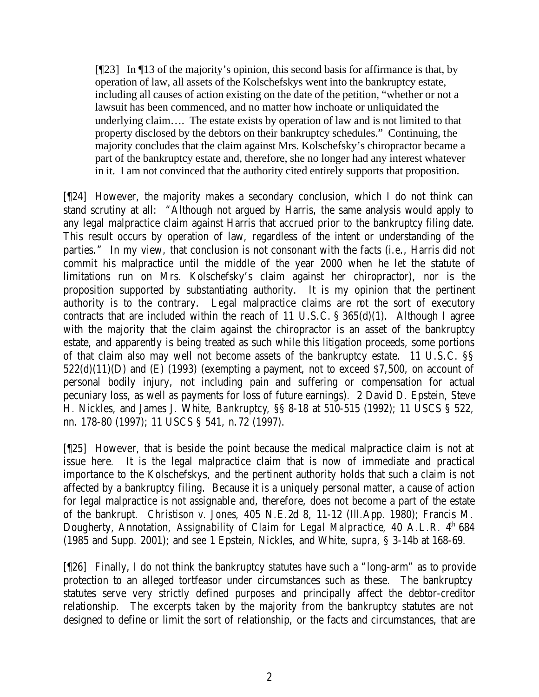[¶23] In ¶13 of the majority's opinion, this second basis for affirmance is that, by operation of law, all assets of the Kolschefskys went into the bankruptcy estate, including all causes of action existing on the date of the petition, "whether or not a lawsuit has been commenced, and no matter how inchoate or unliquidated the underlying claim…. The estate exists by operation of law and is not limited to that property disclosed by the debtors on their bankruptcy schedules." Continuing, the majority concludes that the claim against Mrs. Kolschefsky's chiropractor became a part of the bankruptcy estate and, therefore, she no longer had any interest whatever in it. I am not convinced that the authority cited entirely supports that proposition.

[¶24] However, the majority makes a secondary conclusion, which I do not think can stand scrutiny at all: "Although not argued by Harris, the same analysis would apply to any legal malpractice claim against Harris that accrued prior to the bankruptcy filing date. This result occurs by operation of law, regardless of the intent or understanding of the parties." In my view, that conclusion is not consonant with the facts (*i.e*., Harris did not commit his malpractice until the middle of the year 2000 when he let the statute of limitations run on Mrs. Kolschefsky's claim against her chiropractor), nor is the proposition supported by substantiating authority. It is my opinion that the pertinent authority is to the contrary. Legal malpractice claims are not the sort of executory contracts that are included within the reach of 11 U.S.C. § 365(d)(1). Although I agree with the majority that the claim against the chiropractor is an asset of the bankruptcy estate, and apparently is being treated as such while this litigation proceeds, some portions of that claim also may well not become assets of the bankruptcy estate. 11 U.S.C. §§  $522(d)(11)(D)$  and  $(E)$  (1993) (exempting a payment, not to exceed \$7,500, on account of personal bodily injury, not including pain and suffering or compensation for actual pecuniary loss, as well as payments for loss of future earnings). 2 David D. Epstein, Steve H. Nickles, and James J. White, *Bankruptcy*, §§ 8-18 at 510-515 (1992); 11 USCS § 522, nn. 178-80 (1997); 11 USCS § 541, n.72 (1997).

[¶25] However, that is beside the point because the medical malpractice claim is not at issue here. It is the legal malpractice claim that is now of immediate and practical importance to the Kolschefskys, and the pertinent authority holds that such a claim is not affected by a bankruptcy filing. Because it is a uniquely personal matter, a cause of action for legal malpractice is not assignable and, therefore, does not become a part of the estate of the bankrupt. *Christison v. Jones*, 405 N.E.2d 8, 11-12 (Ill.App. 1980); Francis M. Dougherty, Annotation, Assignability of Claim for Legal Malpractice, 40 A.L.R. 4<sup>th</sup> 684 (1985 and Supp. 2001); and *see* 1 Epstein, Nickles, and White, *supra*, § 3-14b at 168-69.

[¶26] Finally, I do not think the bankruptcy statutes have such a "long-arm" as to provide protection to an alleged tortfeasor under circumstances such as these. The bankruptcy statutes serve very strictly defined purposes and principally affect the debtor-creditor relationship. The excerpts taken by the majority from the bankruptcy statutes are not designed to define or limit the sort of relationship, or the facts and circumstances, that are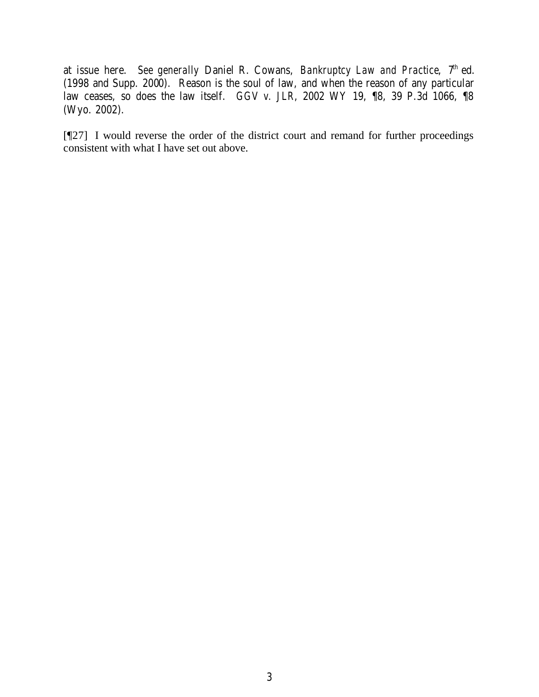at issue here. *See generally Daniel R. Cowans, Bankruptcy Law and Practice*,  $7<sup>th</sup>$  ed. (1998 and Supp. 2000). Reason is the soul of law, and when the reason of any particular law ceases, so does the law itself. *GGV v. JLR*, 2002 WY 19, ¶8, 39 P.3d 1066, ¶8 (Wyo. 2002).

[¶27] I would reverse the order of the district court and remand for further proceedings consistent with what I have set out above.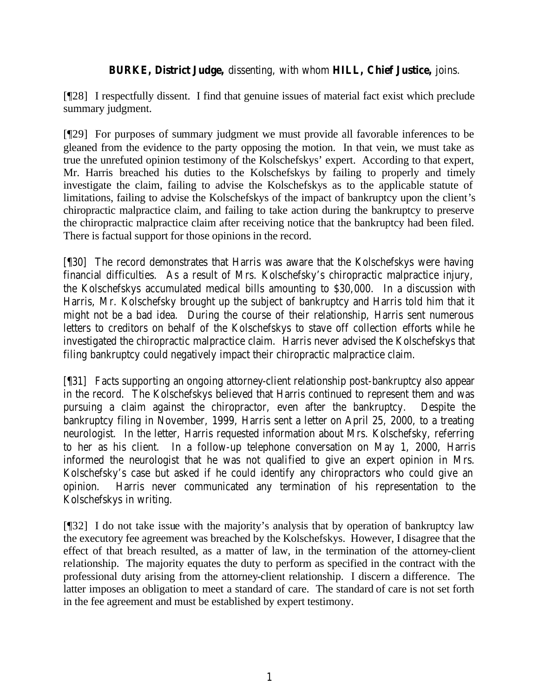# **BURKE, District Judge,** dissenting, with whom **HILL, Chief Justice,** joins.

[¶28] I respectfully dissent. I find that genuine issues of material fact exist which preclude summary judgment.

[¶29] For purposes of summary judgment we must provide all favorable inferences to be gleaned from the evidence to the party opposing the motion. In that vein, we must take as true the unrefuted opinion testimony of the Kolschefskys' expert. According to that expert, Mr. Harris breached his duties to the Kolschefskys by failing to properly and timely investigate the claim, failing to advise the Kolschefskys as to the applicable statute of limitations, failing to advise the Kolschefskys of the impact of bankruptcy upon the client's chiropractic malpractice claim, and failing to take action during the bankruptcy to preserve the chiropractic malpractice claim after receiving notice that the bankruptcy had been filed. There is factual support for those opinions in the record.

[¶30] The record demonstrates that Harris was aware that the Kolschefskys were having financial difficulties. As a result of Mrs. Kolschefsky's chiropractic malpractice injury, the Kolschefskys accumulated medical bills amounting to \$30,000. In a discussion with Harris, Mr. Kolschefsky brought up the subject of bankruptcy and Harris told him that it might not be a bad idea. During the course of their relationship, Harris sent numerous letters to creditors on behalf of the Kolschefskys to stave off collection efforts while he investigated the chiropractic malpractice claim. Harris never advised the Kolschefskys that filing bankruptcy could negatively impact their chiropractic malpractice claim.

[¶31] Facts supporting an ongoing attorney-client relationship post-bankruptcy also appear in the record. The Kolschefskys believed that Harris continued to represent them and was pursuing a claim against the chiropractor, even after the bankruptcy. Despite the bankruptcy filing in November, 1999, Harris sent a letter on April 25, 2000, to a treating neurologist. In the letter, Harris requested information about Mrs. Kolschefsky, referring to her as his client. In a follow-up telephone conversation on May 1, 2000, Harris informed the neurologist that he was not qualified to give an expert opinion in Mrs. Kolschefsky's case but asked if he could identify any chiropractors who could give an opinion. Harris never communicated any termination of his representation to the Kolschefskys in writing.

[¶32] I do not take issue with the majority's analysis that by operation of bankruptcy law the executory fee agreement was breached by the Kolschefskys. However, I disagree that the effect of that breach resulted, as a matter of law, in the termination of the attorney-client relationship. The majority equates the duty to perform as specified in the contract with the professional duty arising from the attorney-client relationship. I discern a difference. The latter imposes an obligation to meet a standard of care. The standard of care is not set forth in the fee agreement and must be established by expert testimony.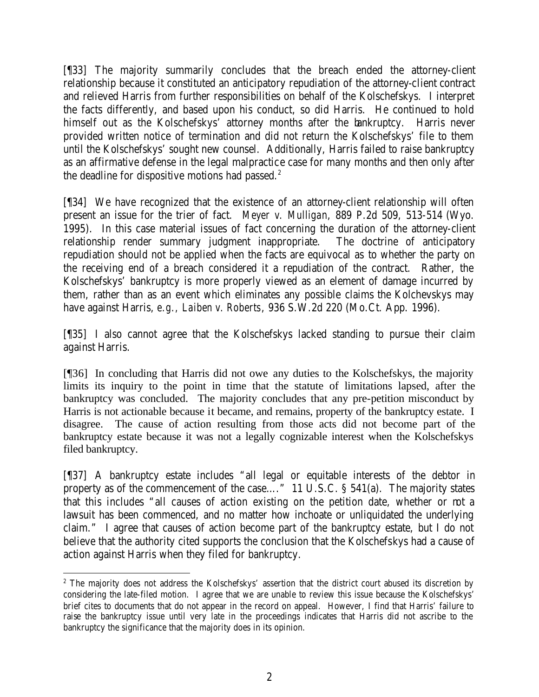[¶33] The majority summarily concludes that the breach ended the attorney-client relationship because it constituted an anticipatory repudiation of the attorney-client contract and relieved Harris from further responsibilities on behalf of the Kolschefskys. I interpret the facts differently, and based upon his conduct, so did Harris. He continued to hold himself out as the Kolschefskys' attorney months after the bankruptcy. Harris never provided written notice of termination and did not return the Kolschefskys' file to them until the Kolschefskys' sought new counsel. Additionally, Harris failed to raise bankruptcy as an affirmative defense in the legal malpractice case for many months and then only after the deadline for dispositive motions had passed. $2$ 

[¶34] We have recognized that the existence of an attorney-client relationship will often present an issue for the trier of fact. *Meyer v. Mulligan*, 889 P.2d 509, 513-514 (Wyo. 1995). In this case material issues of fact concerning the duration of the attorney-client relationship render summary judgment inappropriate. The doctrine of anticipatory repudiation should not be applied when the facts are equivocal as to whether the party on the receiving end of a breach considered it a repudiation of the contract. Rather, the Kolschefskys' bankruptcy is more properly viewed as an element of damage incurred by them, rather than as an event which eliminates any possible claims the Kolchevskys may have against Harris, *e.g., Laiben v. Roberts*, 936 S.W.2d 220 (Mo.Ct. App. 1996).

[¶35] I also cannot agree that the Kolschefskys lacked standing to pursue their claim against Harris.

[¶36] In concluding that Harris did not owe any duties to the Kolschefskys, the majority limits its inquiry to the point in time that the statute of limitations lapsed, after the bankruptcy was concluded. The majority concludes that any pre-petition misconduct by Harris is not actionable because it became, and remains, property of the bankruptcy estate. I disagree. The cause of action resulting from those acts did not become part of the bankruptcy estate because it was not a legally cognizable interest when the Kolschefskys filed bankruptcy.

[¶37] A bankruptcy estate includes "all legal or equitable interests of the debtor in property as of the commencement of the case…." 11 U.S.C. § 541(a). The majority states that this includes "all causes of action existing on the petition date, whether or not a lawsuit has been commenced, and no matter how inchoate or unliquidated the underlying claim." I agree that causes of action become part of the bankruptcy estate, but I do not believe that the authority cited supports the conclusion that the Kolschefskys had a cause of action against Harris when they filed for bankruptcy.

<sup>&</sup>lt;sup>2</sup> The majority does not address the Kolschefskys' assertion that the district court abused its discretion by considering the late-filed motion. I agree that we are unable to review this issue because the Kolschefskys' brief cites to documents that do not appear in the record on appeal. However, I find that Harris' failure to raise the bankruptcy issue until very late in the proceedings indicates that Harris did not ascribe to the bankruptcy the significance that the majority does in its opinion.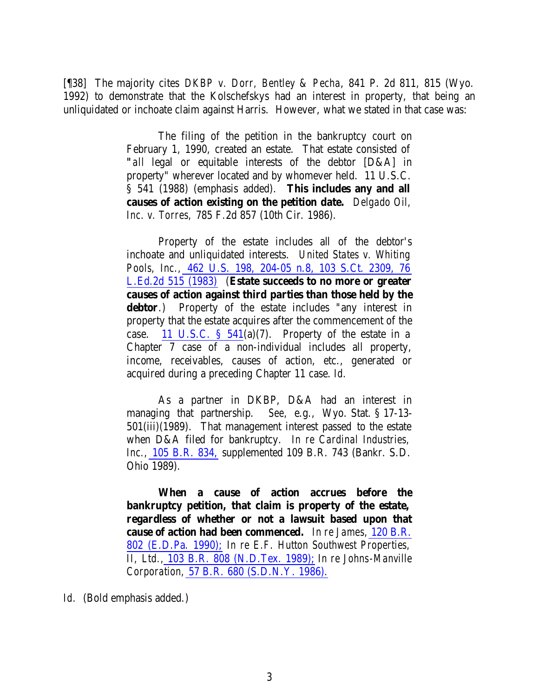[¶38] The majority cites *DKBP v. Dorr, Bentley & Pecha*, 841 P. 2d 811, 815 (Wyo. 1992) to demonstrate that the Kolschefskys had an interest in property, that being an unliquidated or inchoate claim against Harris. However, what we stated in that case was:

> The filing of the petition in the bankruptcy court on February 1, 1990, created an estate. That estate consisted of *"all* legal or equitable interests of the debtor [D&A] in property" wherever located and by whomever held. 11 U.S.C. § 541 (1988) (emphasis added). **This includes any and all causes of action existing on the petition date.** *Delgado Oil, Inc. v. Torres,* 785 F.2d 857 (10th Cir. 1986).

> Property of the estate includes all of the debtor's inchoate and unliquidated interests. *United States v. Whiting Pools, Inc.,* 462 U.S. 198, 204-05 n.8, 103 S.Ct. 2309, 76 L.Ed.2d 515 (1983) (**Estate succeeds to no more or greater causes of action against third parties than those held by the debtor**.) Property of the estate includes "any interest in property that the estate acquires after the commencement of the case. 11 U.S.C.  $\S$  541(a)(7). Property of the estate in a Chapter 7 case of a non-individual includes all property, income, receivables, causes of action, etc., generated or acquired during a preceding Chapter 11 case. *Id.*

> As a partner in DKBP, D&A had an interest in managing that partnership. *See,* e.g., Wyo. Stat. § 17-13- 501(iii)(1989). That management interest passed to the estate when D&A filed for bankruptcy. *In re Cardinal Industries, Inc.,* 105 B.R. 834, supplemented 109 B.R. 743 (Bankr. S.D. Ohio 1989).

> **When a cause of action accrues before the bankruptcy petition, that claim is property of the estate, regardless of whether or not a lawsuit based upon that cause of action had been commenced.** *In re James,* 120 B.R. 802 (E.D.Pa. 1990); *In re E.F. Hutton Southwest Properties, II, Ltd.,* 103 B.R. 808 (N.D.Tex. 1989); *In re Johns-Manville Corporation,* 57 B.R. 680 (S.D.N.Y. 1986).

*Id.* (Bold emphasis added.)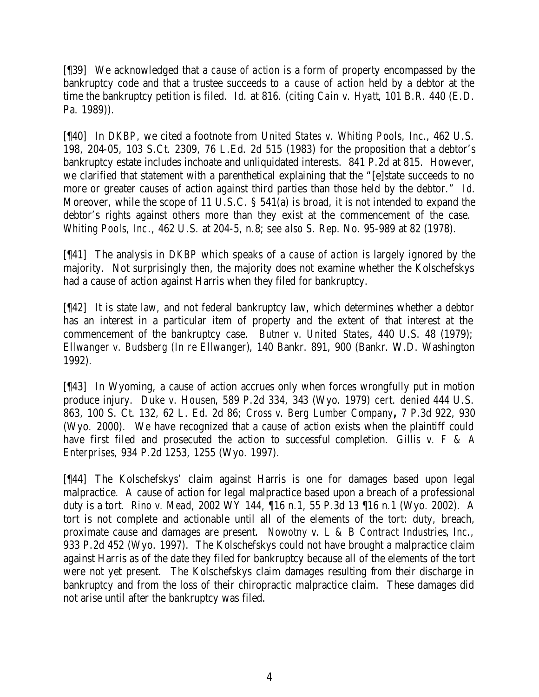[¶39] We acknowledged that a *cause of action* is a form of property encompassed by the bankruptcy code and that a trustee succeeds to *a cause of action* held by a debtor at the time the bankruptcy petition is filed. *Id*. at 816. (citing *Cain v. Hyatt*, 101 B.R. 440 (E.D. Pa. 1989)).

[¶40] In *DKBP*, we cited a footnote from *United States v. Whiting Pools, Inc.*, 462 U.S. 198, 204-05, 103 S.Ct. 2309, 76 L.Ed. 2d 515 (1983) for the proposition that a debtor's bankruptcy estate includes inchoate and unliquidated interests. 841 P.2d at 815. However, we clarified that statement with a parenthetical explaining that the "[e]state succeeds to no more or greater causes of action against third parties than those held by the debtor." *Id*. Moreover, while the scope of 11 U.S.C. § 541(a) is broad, it is not intended to expand the debtor's rights against others more than they exist at the commencement of the case. *Whiting Pools, Inc*., 462 U.S. at 204-5, n.8; s*ee also* S. Rep. No. 95-989 at 82 (1978).

[¶41] The analysis in *DKBP* which speaks of a *cause of action* is largely ignored by the majority. Not surprisingly then, the majority does not examine whether the Kolschefskys had a cause of action against Harris when they filed for bankruptcy.

[¶42] It is state law, and not federal bankruptcy law, which determines whether a debtor has an interest in a particular item of property and the extent of that interest at the commencement of the bankruptcy case. *Butner v. United States*, 440 U.S. 48 (1979); *Ellwanger v. Budsberg (In re Ellwanger)*, 140 Bankr. 891, 900 (Bankr. W.D. Washington 1992).

[¶43] In Wyoming, a cause of action accrues only when forces wrongfully put in motion produce injury. *Duke v. Housen*, 589 P.2d 334, 343 (Wyo. 1979) *cert. denied* 444 U.S. 863, 100 S. Ct. 132, 62 L. Ed. 2d 86; *Cross v. Berg Lumber Company***,** 7 P.3d 922, 930 (Wyo. 2000). We have recognized that a cause of action exists when the plaintiff could have first filed and prosecuted the action to successful completion. *Gillis v. F & A Enterprises*, 934 P.2d 1253, 1255 (Wyo. 1997).

[¶44] The Kolschefskys' claim against Harris is one for damages based upon legal malpractice. A cause of action for legal malpractice based upon a breach of a professional duty is a tort. *Rino v. Mead*, 2002 WY 144, ¶16 n.1, 55 P.3d 13 ¶16 n.1 (Wyo. 2002). A tort is not complete and actionable until all of the elements of the tort: duty, breach, proximate cause and damages are present. *Nowotny v. L & B Contract Industries, Inc.,*  933 P.2d 452 (Wyo. 1997). The Kolschefskys could not have brought a malpractice claim against Harris as of the date they filed for bankruptcy because all of the elements of the tort were not yet present. The Kolschefskys claim damages resulting from their discharge in bankruptcy and from the loss of their chiropractic malpractice claim. These damages did not arise until after the bankruptcy was filed.